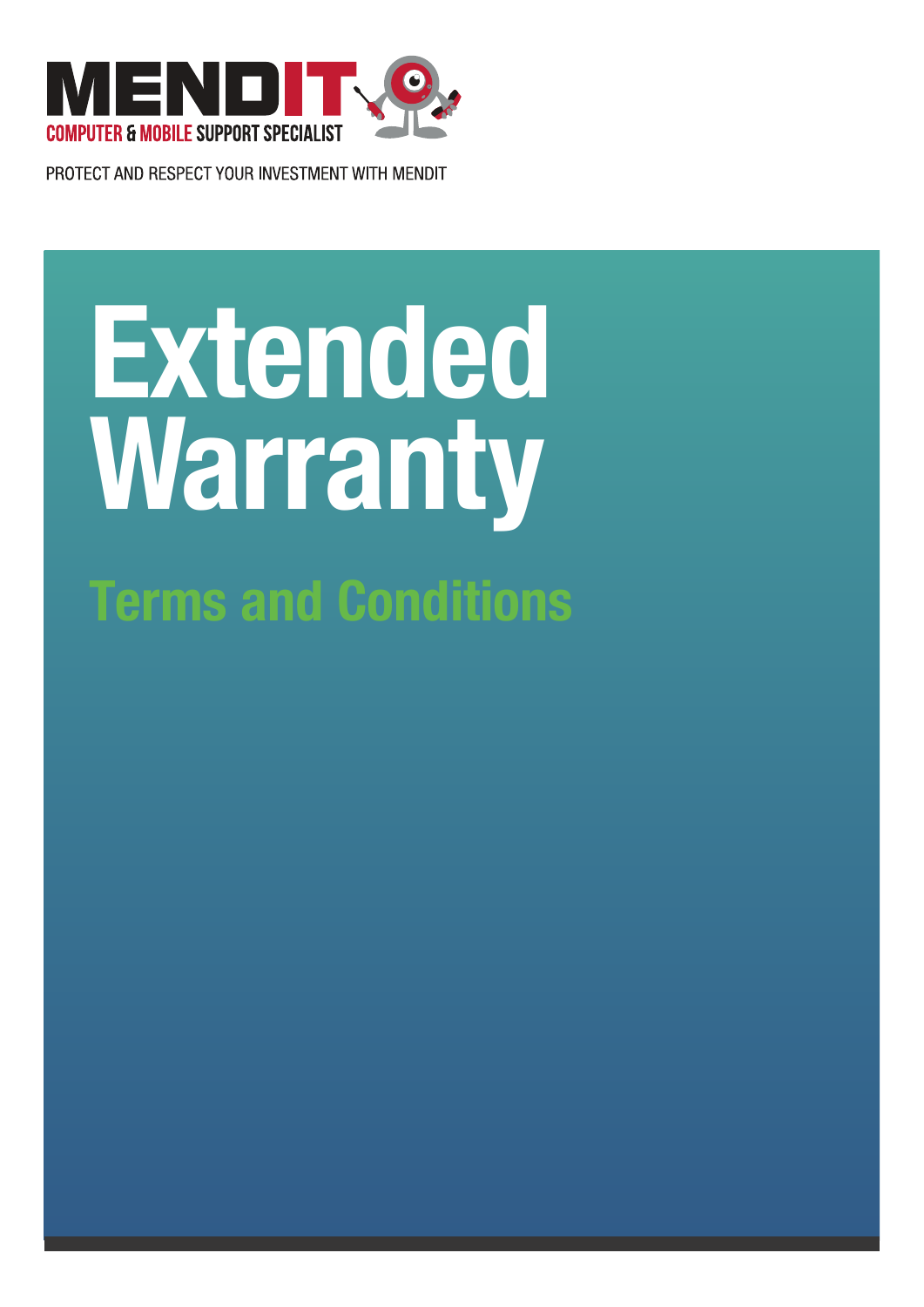

PROTECT AND RESPECT YOUR INVESTMENT WITH MENDIT

# **Extended Warranty Terms and Conditions**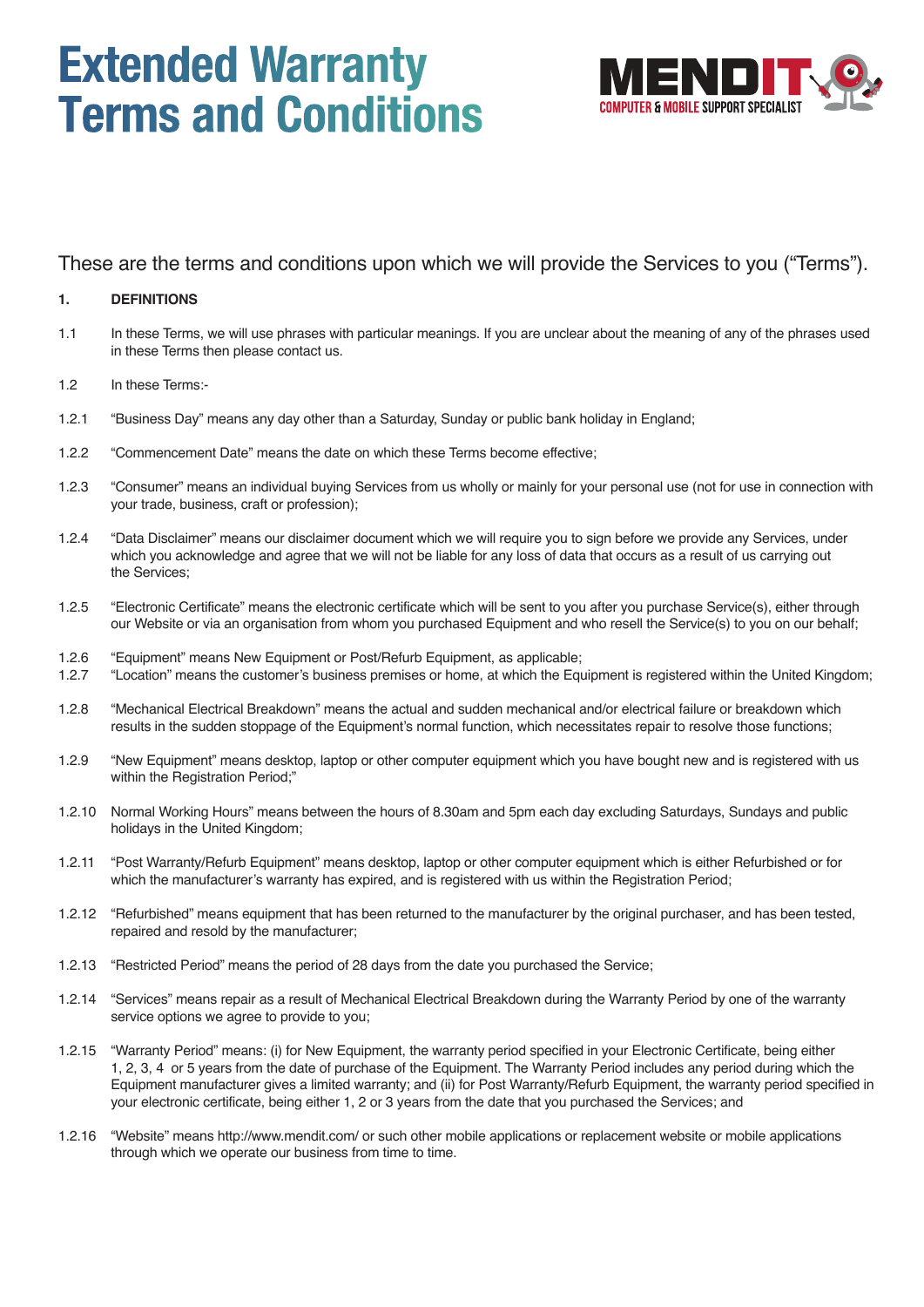## **Extended Warranty Terms and Conditions**



These are the terms and conditions upon which we will provide the Services to you ("Terms").

#### **1. DEFINITIONS**

- 1.1 In these Terms, we will use phrases with particular meanings. If you are unclear about the meaning of any of the phrases used in these Terms then please contact us.
- 1.2 In these Terms:-
- 1.2.1 "Business Day" means any day other than a Saturday, Sunday or public bank holiday in England;
- 1.2.2 "Commencement Date" means the date on which these Terms become effective;
- 1.2.3 "Consumer" means an individual buying Services from us wholly or mainly for your personal use (not for use in connection with your trade, business, craft or profession);
- 1.2.4 "Data Disclaimer" means our disclaimer document which we will require you to sign before we provide any Services, under which you acknowledge and agree that we will not be liable for any loss of data that occurs as a result of us carrying out the Services;
- 1.2.5 "Electronic Certificate" means the electronic certificate which will be sent to you after you purchase Service(s), either through our Website or via an organisation from whom you purchased Equipment and who resell the Service(s) to you on our behalf;
- 1.2.6 "Equipment" means New Equipment or Post/Refurb Equipment, as applicable;<br>1.2.7 "Location" means the customer's business premises or home, at which the Equ
- 1.2.7 "Location" means the customer's business premises or home, at which the Equipment is registered within the United Kingdom;
- 1.2.8 "Mechanical Electrical Breakdown" means the actual and sudden mechanical and/or electrical failure or breakdown which results in the sudden stoppage of the Equipment's normal function, which necessitates repair to resolve those functions;
- 1.2.9 "New Equipment" means desktop, laptop or other computer equipment which you have bought new and is registered with us within the Registration Period;"
- 1.2.10 Normal Working Hours" means between the hours of 8.30am and 5pm each day excluding Saturdays, Sundays and public holidays in the United Kingdom;
- 1.2.11 "Post Warranty/Refurb Equipment" means desktop, laptop or other computer equipment which is either Refurbished or for which the manufacturer's warranty has expired, and is registered with us within the Registration Period;
- 1.2.12 "Refurbished" means equipment that has been returned to the manufacturer by the original purchaser, and has been tested, repaired and resold by the manufacturer;
- 1.2.13 "Restricted Period" means the period of 28 days from the date you purchased the Service;
- 1.2.14 "Services" means repair as a result of Mechanical Electrical Breakdown during the Warranty Period by one of the warranty service options we agree to provide to you;
- 1.2.15 "Warranty Period" means: (i) for New Equipment, the warranty period specified in your Electronic Certificate, being either 1, 2, 3, 4 or 5 years from the date of purchase of the Equipment. The Warranty Period includes any period during which the Equipment manufacturer gives a limited warranty; and (ii) for Post Warranty/Refurb Equipment, the warranty period specified in your electronic certificate, being either 1, 2 or 3 years from the date that you purchased the Services; and
- 1.2.16 "Website" means http://www.mendit.com/ or such other mobile applications or replacement website or mobile applications through which we operate our business from time to time.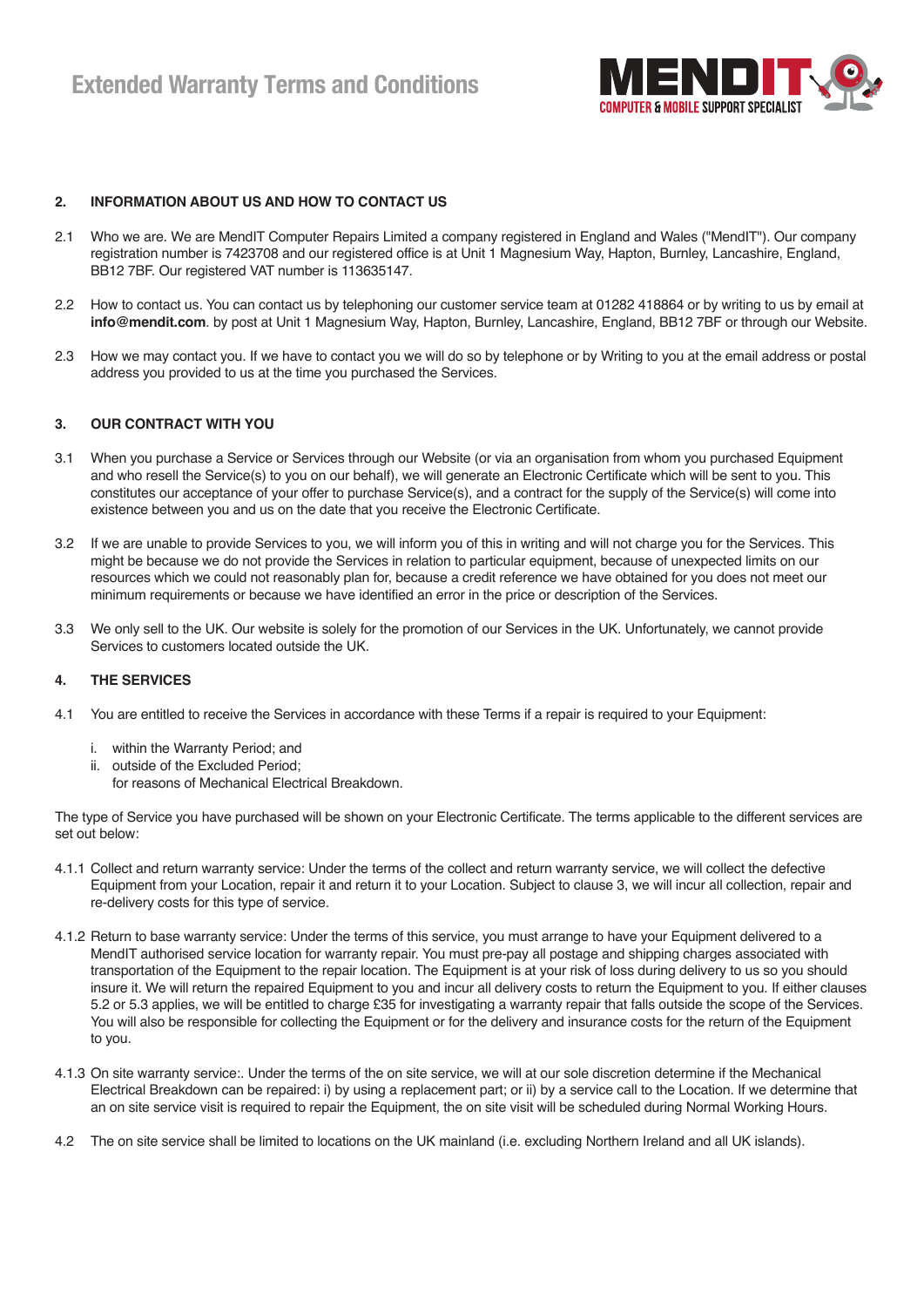

#### **2. INFORMATION ABOUT US AND HOW TO CONTACT US**

- 2.1 Who we are. We are MendIT Computer Repairs Limited a company registered in England and Wales ("MendIT"). Our company registration number is 7423708 and our registered office is at Unit 1 Magnesium Way, Hapton, Burnley, Lancashire, England, BB12 7BF. Our registered VAT number is 113635147.
- 2.2 How to contact us. You can contact us by telephoning our customer service team at 01282 418864 or by writing to us by email at **info@mendit.com**. by post at Unit 1 Magnesium Way, Hapton, Burnley, Lancashire, England, BB12 7BF or through our Website.
- 2.3 How we may contact you. If we have to contact you we will do so by telephone or by Writing to you at the email address or postal address you provided to us at the time you purchased the Services.

#### **3. OUR CONTRACT WITH YOU**

- 3.1 When you purchase a Service or Services through our Website (or via an organisation from whom you purchased Equipment and who resell the Service(s) to you on our behalf), we will generate an Electronic Certificate which will be sent to you. This constitutes our acceptance of your offer to purchase Service(s), and a contract for the supply of the Service(s) will come into existence between you and us on the date that you receive the Electronic Certificate.
- 3.2 If we are unable to provide Services to you, we will inform you of this in writing and will not charge you for the Services. This might be because we do not provide the Services in relation to particular equipment, because of unexpected limits on our resources which we could not reasonably plan for, because a credit reference we have obtained for you does not meet our minimum requirements or because we have identified an error in the price or description of the Services.
- 3.3 We only sell to the UK. Our website is solely for the promotion of our Services in the UK. Unfortunately, we cannot provide Services to customers located outside the UK.

#### **4. THE SERVICES**

- 4.1 You are entitled to receive the Services in accordance with these Terms if a repair is required to your Equipment:
	- i. within the Warranty Period; and
	- ii. outside of the Excluded Period;
		- for reasons of Mechanical Electrical Breakdown.

The type of Service you have purchased will be shown on your Electronic Certificate. The terms applicable to the different services are set out below:

- 4.1.1 Collect and return warranty service: Under the terms of the collect and return warranty service, we will collect the defective Equipment from your Location, repair it and return it to your Location. Subject to clause 3, we will incur all collection, repair and re-delivery costs for this type of service.
- 4.1.2 Return to base warranty service: Under the terms of this service, you must arrange to have your Equipment delivered to a MendIT authorised service location for warranty repair. You must pre-pay all postage and shipping charges associated with transportation of the Equipment to the repair location. The Equipment is at your risk of loss during delivery to us so you should insure it. We will return the repaired Equipment to you and incur all delivery costs to return the Equipment to you. If either clauses 5.2 or 5.3 applies, we will be entitled to charge £35 for investigating a warranty repair that falls outside the scope of the Services. You will also be responsible for collecting the Equipment or for the delivery and insurance costs for the return of the Equipment to you.
- 4.1.3 On site warranty service:. Under the terms of the on site service, we will at our sole discretion determine if the Mechanical Electrical Breakdown can be repaired: i) by using a replacement part; or ii) by a service call to the Location. If we determine that an on site service visit is required to repair the Equipment, the on site visit will be scheduled during Normal Working Hours.
- 4.2 The on site service shall be limited to locations on the UK mainland (i.e. excluding Northern Ireland and all UK islands).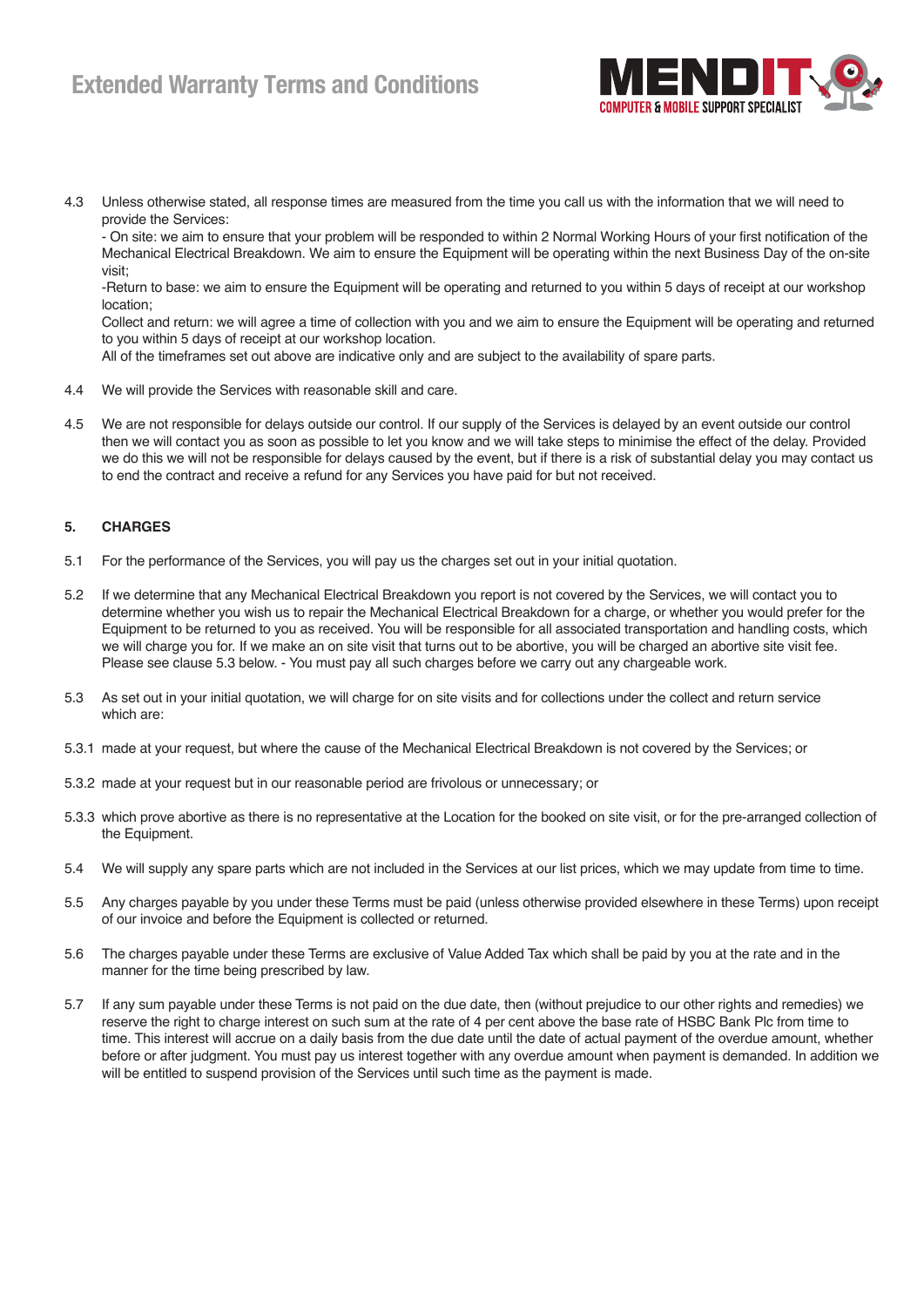### **Extended Warranty Terms and Conditions**



4.3 Unless otherwise stated, all response times are measured from the time you call us with the information that we will need to provide the Services:

 - On site: we aim to ensure that your problem will be responded to within 2 Normal Working Hours of your first notification of the Mechanical Electrical Breakdown. We aim to ensure the Equipment will be operating within the next Business Day of the on-site visit;

 -Return to base: we aim to ensure the Equipment will be operating and returned to you within 5 days of receipt at our workshop location;

 Collect and return: we will agree a time of collection with you and we aim to ensure the Equipment will be operating and returned to you within 5 days of receipt at our workshop location.

All of the timeframes set out above are indicative only and are subject to the availability of spare parts.

- 4.4 We will provide the Services with reasonable skill and care.
- 4.5 We are not responsible for delays outside our control. If our supply of the Services is delayed by an event outside our control then we will contact you as soon as possible to let you know and we will take steps to minimise the effect of the delay. Provided we do this we will not be responsible for delays caused by the event, but if there is a risk of substantial delay you may contact us to end the contract and receive a refund for any Services you have paid for but not received.

#### **5. CHARGES**

- 5.1 For the performance of the Services, you will pay us the charges set out in your initial quotation.
- 5.2 If we determine that any Mechanical Electrical Breakdown you report is not covered by the Services, we will contact you to determine whether you wish us to repair the Mechanical Electrical Breakdown for a charge, or whether you would prefer for the Equipment to be returned to you as received. You will be responsible for all associated transportation and handling costs, which we will charge you for. If we make an on site visit that turns out to be abortive, you will be charged an abortive site visit fee. Please see clause 5.3 below. - You must pay all such charges before we carry out any chargeable work.
- 5.3 As set out in your initial quotation, we will charge for on site visits and for collections under the collect and return service which are:
- 5.3.1 made at your request, but where the cause of the Mechanical Electrical Breakdown is not covered by the Services; or
- 5.3.2 made at your request but in our reasonable period are frivolous or unnecessary; or
- 5.3.3 which prove abortive as there is no representative at the Location for the booked on site visit, or for the pre-arranged collection of the Equipment.
- 5.4 We will supply any spare parts which are not included in the Services at our list prices, which we may update from time to time.
- 5.5 Any charges payable by you under these Terms must be paid (unless otherwise provided elsewhere in these Terms) upon receipt of our invoice and before the Equipment is collected or returned.
- 5.6 The charges payable under these Terms are exclusive of Value Added Tax which shall be paid by you at the rate and in the manner for the time being prescribed by law.
- 5.7 If any sum payable under these Terms is not paid on the due date, then (without prejudice to our other rights and remedies) we reserve the right to charge interest on such sum at the rate of 4 per cent above the base rate of HSBC Bank Plc from time to time. This interest will accrue on a daily basis from the due date until the date of actual payment of the overdue amount, whether before or after judgment. You must pay us interest together with any overdue amount when payment is demanded. In addition we will be entitled to suspend provision of the Services until such time as the payment is made.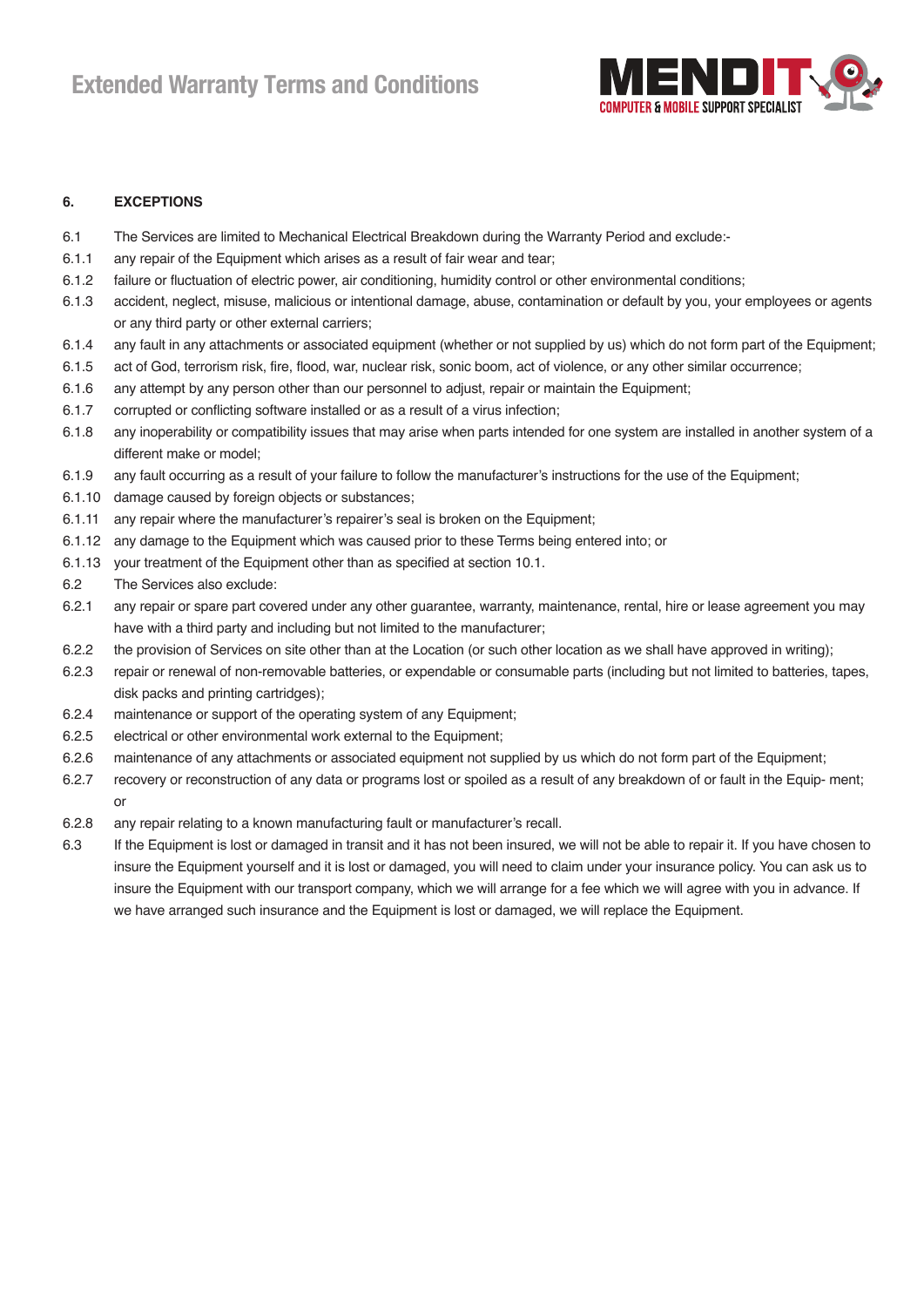

#### **6. EXCEPTIONS**

- 6.1 The Services are limited to Mechanical Electrical Breakdown during the Warranty Period and exclude:-
- 6.1.1 any repair of the Equipment which arises as a result of fair wear and tear;
- 6.1.2 failure or fluctuation of electric power, air conditioning, humidity control or other environmental conditions;
- 6.1.3 accident, neglect, misuse, malicious or intentional damage, abuse, contamination or default by you, your employees or agents or any third party or other external carriers;
- 6.1.4 any fault in any attachments or associated equipment (whether or not supplied by us) which do not form part of the Equipment;
- 6.1.5 act of God, terrorism risk, fire, flood, war, nuclear risk, sonic boom, act of violence, or any other similar occurrence;
- 6.1.6 any attempt by any person other than our personnel to adjust, repair or maintain the Equipment;
- 6.1.7 corrupted or conflicting software installed or as a result of a virus infection;
- 6.1.8 any inoperability or compatibility issues that may arise when parts intended for one system are installed in another system of a different make or model;
- 6.1.9 any fault occurring as a result of your failure to follow the manufacturer's instructions for the use of the Equipment;
- 6.1.10 damage caused by foreign objects or substances;
- 6.1.11 any repair where the manufacturer's repairer's seal is broken on the Equipment;
- 6.1.12 any damage to the Equipment which was caused prior to these Terms being entered into; or
- 6.1.13 your treatment of the Equipment other than as specified at section 10.1.
- 6.2 The Services also exclude:
- 6.2.1 any repair or spare part covered under any other guarantee, warranty, maintenance, rental, hire or lease agreement you may have with a third party and including but not limited to the manufacturer;
- 6.2.2 the provision of Services on site other than at the Location (or such other location as we shall have approved in writing);
- 6.2.3 repair or renewal of non-removable batteries, or expendable or consumable parts (including but not limited to batteries, tapes, disk packs and printing cartridges);
- 6.2.4 maintenance or support of the operating system of any Equipment;
- 6.2.5 electrical or other environmental work external to the Equipment;
- 6.2.6 maintenance of any attachments or associated equipment not supplied by us which do not form part of the Equipment;
- 6.2.7 recovery or reconstruction of any data or programs lost or spoiled as a result of any breakdown of or fault in the Equip- ment; or
- 6.2.8 any repair relating to a known manufacturing fault or manufacturer's recall.
- 6.3 If the Equipment is lost or damaged in transit and it has not been insured, we will not be able to repair it. If you have chosen to insure the Equipment yourself and it is lost or damaged, you will need to claim under your insurance policy. You can ask us to insure the Equipment with our transport company, which we will arrange for a fee which we will agree with you in advance. If we have arranged such insurance and the Equipment is lost or damaged, we will replace the Equipment.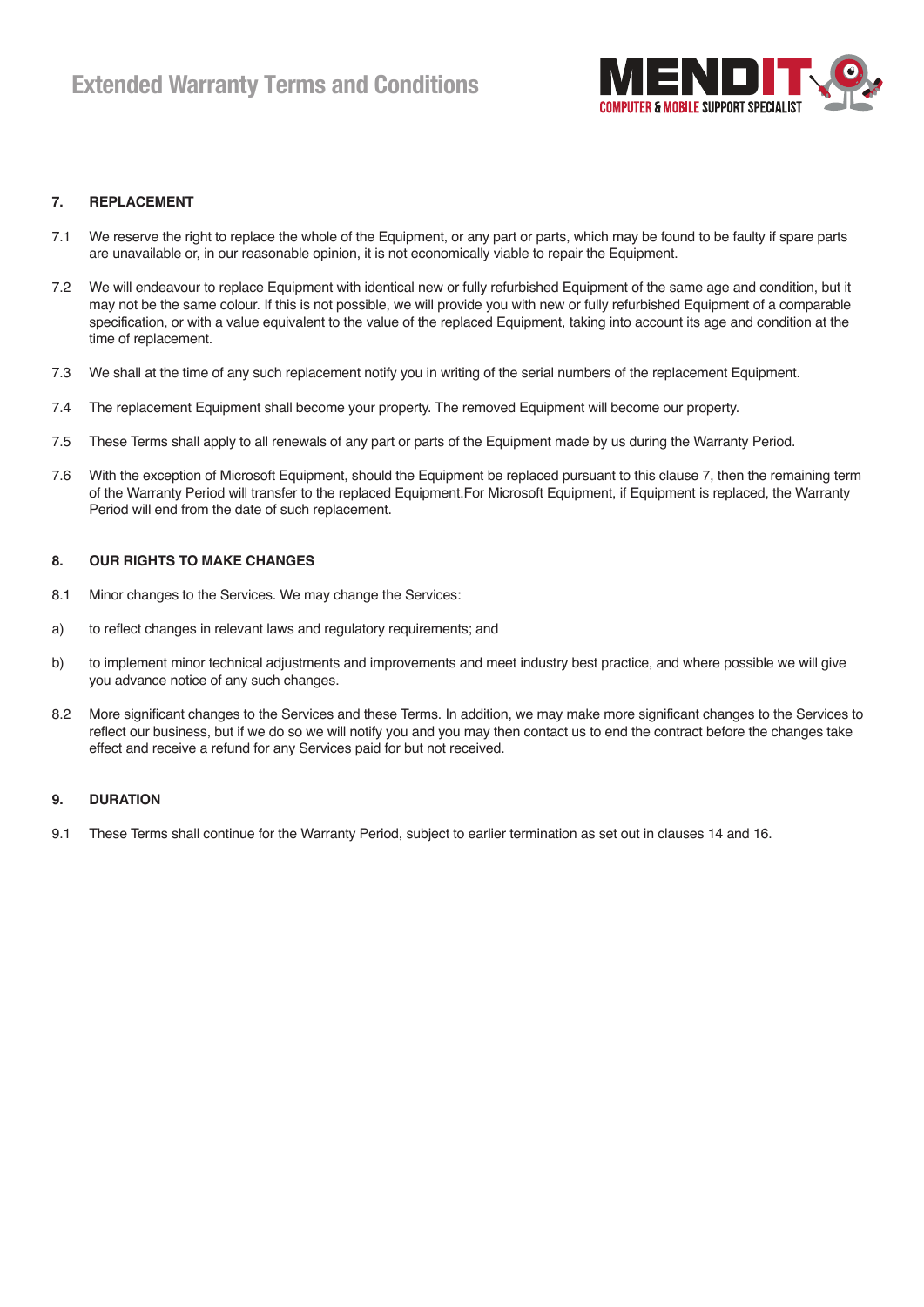

#### **7. REPLACEMENT**

- 7.1 We reserve the right to replace the whole of the Equipment, or any part or parts, which may be found to be faulty if spare parts are unavailable or, in our reasonable opinion, it is not economically viable to repair the Equipment.
- 7.2 We will endeavour to replace Equipment with identical new or fully refurbished Equipment of the same age and condition, but it may not be the same colour. If this is not possible, we will provide you with new or fully refurbished Equipment of a comparable specification, or with a value equivalent to the value of the replaced Equipment, taking into account its age and condition at the time of replacement.
- 7.3 We shall at the time of any such replacement notify you in writing of the serial numbers of the replacement Equipment.
- 7.4 The replacement Equipment shall become your property. The removed Equipment will become our property.
- 7.5 These Terms shall apply to all renewals of any part or parts of the Equipment made by us during the Warranty Period.
- 7.6 With the exception of Microsoft Equipment, should the Equipment be replaced pursuant to this clause 7, then the remaining term of the Warranty Period will transfer to the replaced Equipment.For Microsoft Equipment, if Equipment is replaced, the Warranty Period will end from the date of such replacement.

#### **8. OUR RIGHTS TO MAKE CHANGES**

- 8.1 Minor changes to the Services. We may change the Services:
- a) to reflect changes in relevant laws and regulatory requirements; and
- b) to implement minor technical adjustments and improvements and meet industry best practice, and where possible we will give you advance notice of any such changes.
- 8.2 More significant changes to the Services and these Terms. In addition, we may make more significant changes to the Services to reflect our business, but if we do so we will notify you and you may then contact us to end the contract before the changes take effect and receive a refund for any Services paid for but not received.

#### **9. DURATION**

9.1 These Terms shall continue for the Warranty Period, subject to earlier termination as set out in clauses 14 and 16.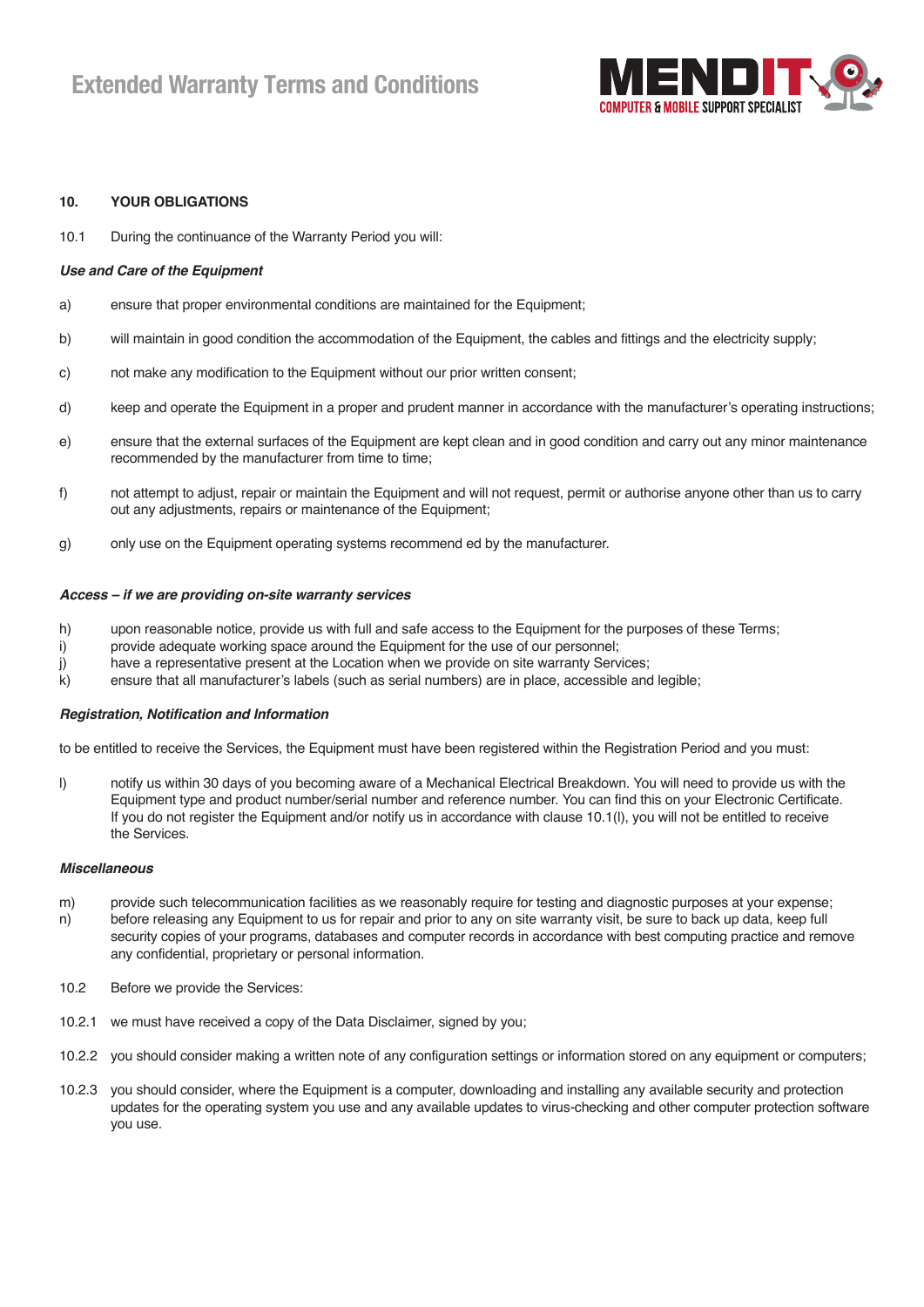

#### **10. YOUR OBLIGATIONS**

10.1 During the continuance of the Warranty Period you will:

#### *Use and Care of the Equipment*

- a) ensure that proper environmental conditions are maintained for the Equipment;
- b) will maintain in good condition the accommodation of the Equipment, the cables and fittings and the electricity supply;
- c) not make any modification to the Equipment without our prior written consent;
- d) keep and operate the Equipment in a proper and prudent manner in accordance with the manufacturer's operating instructions;
- e) ensure that the external surfaces of the Equipment are kept clean and in good condition and carry out any minor maintenance recommended by the manufacturer from time to time;
- f) not attempt to adjust, repair or maintain the Equipment and will not request, permit or authorise anyone other than us to carry out any adjustments, repairs or maintenance of the Equipment;
- g) only use on the Equipment operating systems recommend ed by the manufacturer.

#### *Access – if we are providing on-site warranty services*

- h) upon reasonable notice, provide us with full and safe access to the Equipment for the purposes of these Terms;
- i) provide adequate working space around the Equipment for the use of our personnel;
- j) have a representative present at the Location when we provide on site warranty Services;
- k) ensure that all manufacturer's labels (such as serial numbers) are in place, accessible and legible;

#### *Registration, Notification and Information*

to be entitled to receive the Services, the Equipment must have been registered within the Registration Period and you must:

l) notify us within 30 days of you becoming aware of a Mechanical Electrical Breakdown. You will need to provide us with the Equipment type and product number/serial number and reference number. You can find this on your Electronic Certificate. If you do not register the Equipment and/or notify us in accordance with clause 10.1(l), you will not be entitled to receive the Services.

#### *Miscellaneous*

- m) provide such telecommunication facilities as we reasonably require for testing and diagnostic purposes at your expense;
- n) before releasing any Equipment to us for repair and prior to any on site warranty visit, be sure to back up data, keep full security copies of your programs, databases and computer records in accordance with best computing practice and remove any confidential, proprietary or personal information.
- 10.2 Before we provide the Services:
- 10.2.1 we must have received a copy of the Data Disclaimer, signed by you;
- 10.2.2 you should consider making a written note of any configuration settings or information stored on any equipment or computers;
- 10.2.3 you should consider, where the Equipment is a computer, downloading and installing any available security and protection updates for the operating system you use and any available updates to virus-checking and other computer protection software you use.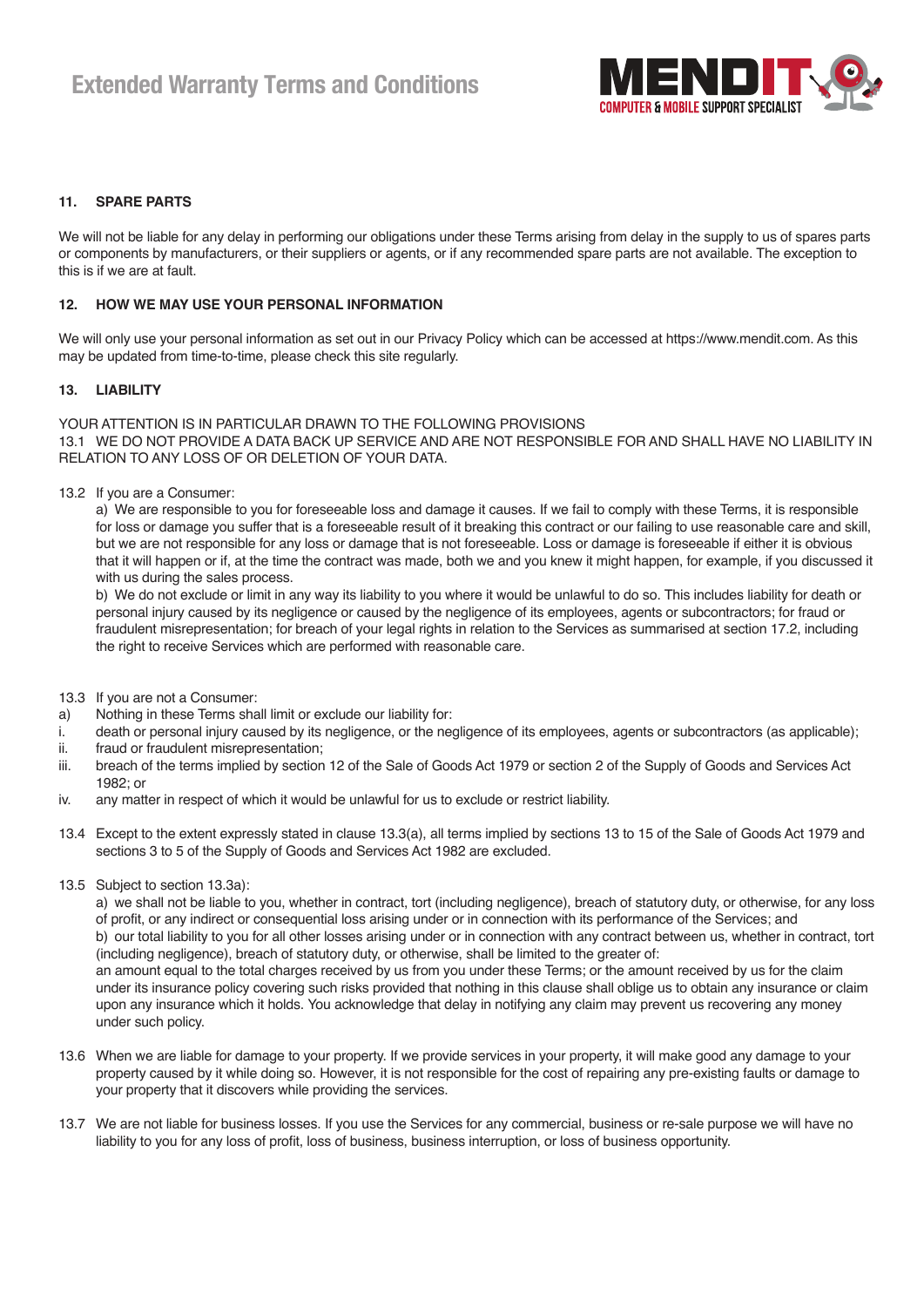

#### **11. SPARE PARTS**

We will not be liable for any delay in performing our obligations under these Terms arising from delay in the supply to us of spares parts or components by manufacturers, or their suppliers or agents, or if any recommended spare parts are not available. The exception to this is if we are at fault.

#### **12. HOW WE MAY USE YOUR PERSONAL INFORMATION**

We will only use your personal information as set out in our Privacy Policy which can be accessed at https://www.mendit.com. As this may be updated from time-to-time, please check this site regularly.

#### **13. LIABILITY**

YOUR ATTENTION IS IN PARTICULAR DRAWN TO THE FOLLOWING PROVISIONS 13.1 WE DO NOT PROVIDE A DATA BACK UP SERVICE AND ARE NOT RESPONSIBLE FOR AND SHALL HAVE NO LIABILITY IN RELATION TO ANY LOSS OF OR DELETION OF YOUR DATA.

13.2 If you are a Consumer:

 a) We are responsible to you for foreseeable loss and damage it causes. If we fail to comply with these Terms, it is responsible for loss or damage you suffer that is a foreseeable result of it breaking this contract or our failing to use reasonable care and skill, but we are not responsible for any loss or damage that is not foreseeable. Loss or damage is foreseeable if either it is obvious that it will happen or if, at the time the contract was made, both we and you knew it might happen, for example, if you discussed it with us during the sales process.

 b) We do not exclude or limit in any way its liability to you where it would be unlawful to do so. This includes liability for death or personal injury caused by its negligence or caused by the negligence of its employees, agents or subcontractors; for fraud or fraudulent misrepresentation; for breach of your legal rights in relation to the Services as summarised at section 17.2, including the right to receive Services which are performed with reasonable care.

13.3 If you are not a Consumer:

- a) Nothing in these Terms shall limit or exclude our liability for:
- i. death or personal injury caused by its negligence, or the negligence of its employees, agents or subcontractors (as applicable);
- ii. fraud or fraudulent misrepresentation;
- iii. breach of the terms implied by section 12 of the Sale of Goods Act 1979 or section 2 of the Supply of Goods and Services Act 1982; or
- iv. any matter in respect of which it would be unlawful for us to exclude or restrict liability.
- 13.4 Except to the extent expressly stated in clause 13.3(a), all terms implied by sections 13 to 15 of the Sale of Goods Act 1979 and sections 3 to 5 of the Supply of Goods and Services Act 1982 are excluded.
- 13.5 Subject to section 13.3a):

 a) we shall not be liable to you, whether in contract, tort (including negligence), breach of statutory duty, or otherwise, for any loss of profit, or any indirect or consequential loss arising under or in connection with its performance of the Services; and

 b) our total liability to you for all other losses arising under or in connection with any contract between us, whether in contract, tort (including negligence), breach of statutory duty, or otherwise, shall be limited to the greater of:

 an amount equal to the total charges received by us from you under these Terms; or the amount received by us for the claim under its insurance policy covering such risks provided that nothing in this clause shall oblige us to obtain any insurance or claim upon any insurance which it holds. You acknowledge that delay in notifying any claim may prevent us recovering any money under such policy.

- 13.6 When we are liable for damage to your property. If we provide services in your property, it will make good any damage to your property caused by it while doing so. However, it is not responsible for the cost of repairing any pre-existing faults or damage to your property that it discovers while providing the services.
- 13.7 We are not liable for business losses. If you use the Services for any commercial, business or re-sale purpose we will have no liability to you for any loss of profit, loss of business, business interruption, or loss of business opportunity.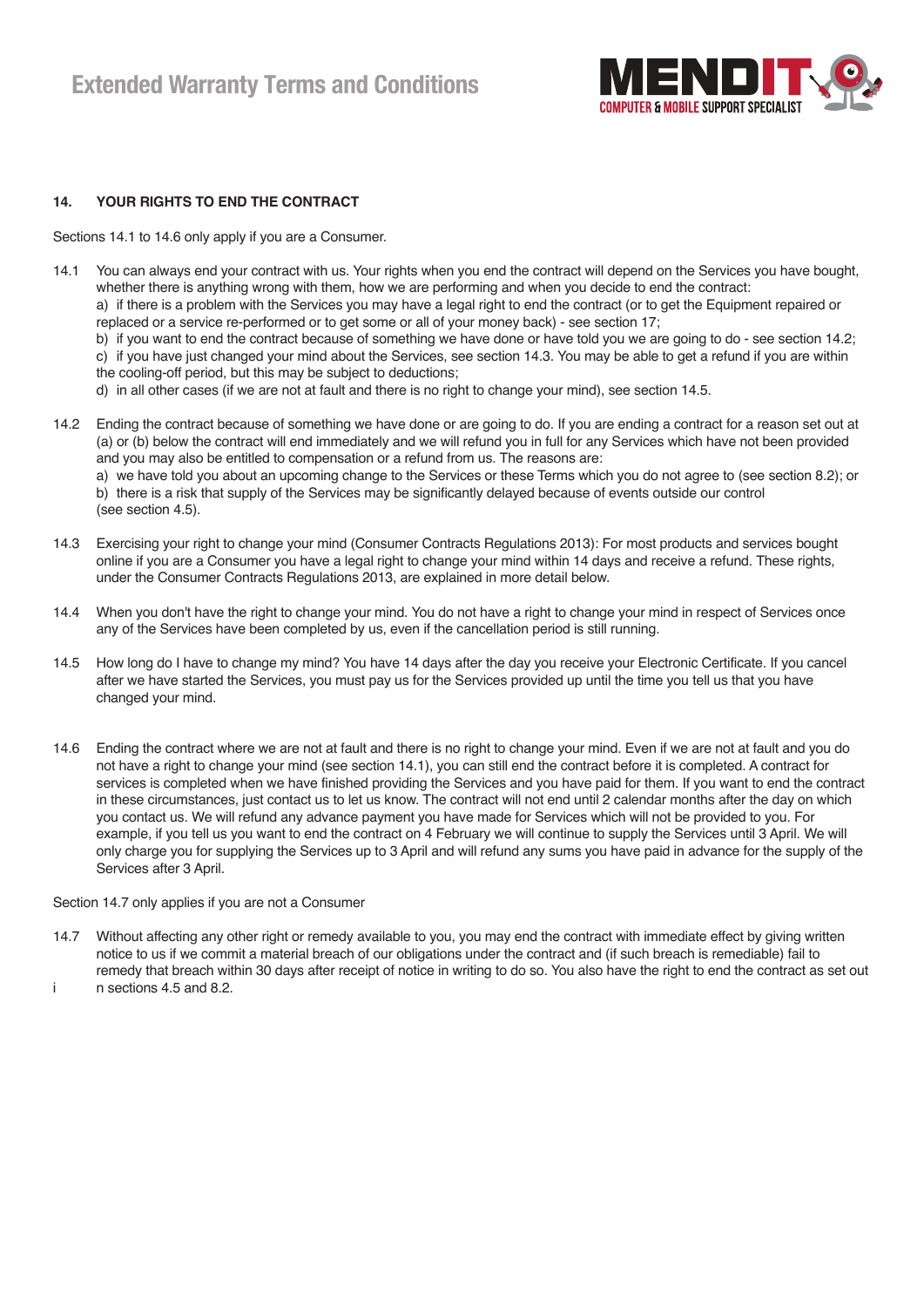

#### **14. YOUR RIGHTS TO END THE CONTRACT**

Sections 14.1 to 14.6 only apply if you are a Consumer.

- 14.1 You can always end your contract with us. Your rights when you end the contract will depend on the Services you have bought, whether there is anything wrong with them, how we are performing and when you decide to end the contract: a) if there is a problem with the Services you may have a legal right to end the contract (or to get the Equipment repaired or
	- replaced or a service re-performed or to get some or all of your money back) see section 17;

 b) if you want to end the contract because of something we have done or have told you we are going to do - see section 14.2; c) if you have just changed your mind about the Services, see section 14.3. You may be able to get a refund if you are within the cooling-off period, but this may be subject to deductions;

- d) in all other cases (if we are not at fault and there is no right to change your mind), see section 14.5.
- 14.2 Ending the contract because of something we have done or are going to do. If you are ending a contract for a reason set out at (a) or (b) below the contract will end immediately and we will refund you in full for any Services which have not been provided and you may also be entitled to compensation or a refund from us. The reasons are: a) we have told you about an upcoming change to the Services or these Terms which you do not agree to (see section 8.2); or b) there is a risk that supply of the Services may be significantly delayed because of events outside our control (see section 4.5).
- 14.3 Exercising your right to change your mind (Consumer Contracts Regulations 2013): For most products and services bought online if you are a Consumer you have a legal right to change your mind within 14 days and receive a refund. These rights, under the Consumer Contracts Regulations 2013, are explained in more detail below.
- 14.4 When you don't have the right to change your mind. You do not have a right to change your mind in respect of Services once any of the Services have been completed by us, even if the cancellation period is still running.
- 14.5 How long do I have to change my mind? You have 14 days after the day you receive your Electronic Certificate. If you cancel after we have started the Services, you must pay us for the Services provided up until the time you tell us that you have changed your mind.
- 14.6 Ending the contract where we are not at fault and there is no right to change your mind. Even if we are not at fault and you do not have a right to change your mind (see section 14.1), you can still end the contract before it is completed. A contract for services is completed when we have finished providing the Services and you have paid for them. If you want to end the contract in these circumstances, just contact us to let us know. The contract will not end until 2 calendar months after the day on which you contact us. We will refund any advance payment you have made for Services which will not be provided to you. For example, if you tell us you want to end the contract on 4 February we will continue to supply the Services until 3 April. We will only charge you for supplying the Services up to 3 April and will refund any sums you have paid in advance for the supply of the Services after 3 April.

#### Section 14.7 only applies if you are not a Consumer

14.7 Without affecting any other right or remedy available to you, you may end the contract with immediate effect by giving written notice to us if we commit a material breach of our obligations under the contract and (if such breach is remediable) fail to remedy that breach within 30 days after receipt of notice in writing to do so. You also have the right to end the contract as set out i n sections 4.5 and 8.2.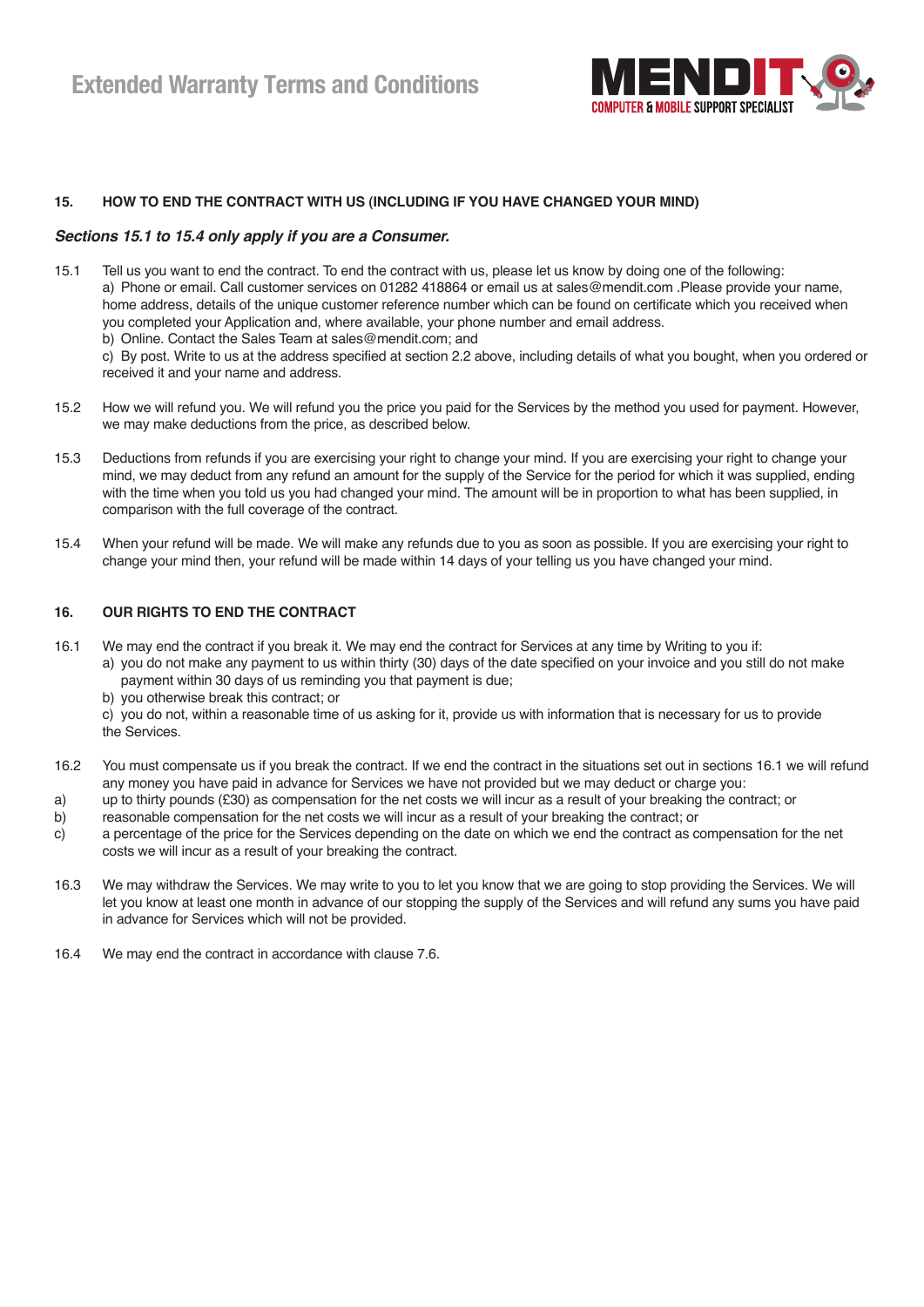

#### **15. HOW TO END THE CONTRACT WITH US (INCLUDING IF YOU HAVE CHANGED YOUR MIND)**

#### *Sections 15.1 to 15.4 only apply if you are a Consumer.*

received it and your name and address.

15.1 Tell us you want to end the contract. To end the contract with us, please let us know by doing one of the following: a) Phone or email. Call customer services on 01282 418864 or email us at sales@mendit.com .Please provide your name, home address, details of the unique customer reference number which can be found on certificate which you received when you completed your Application and, where available, your phone number and email address. b) Online. Contact the Sales Team at sales@mendit.com; and c) By post. Write to us at the address specified at section 2.2 above, including details of what you bought, when you ordered or

15.2 How we will refund you. We will refund you the price you paid for the Services by the method you used for payment. However, we may make deductions from the price, as described below.

- 15.3 Deductions from refunds if you are exercising your right to change your mind. If you are exercising your right to change your mind, we may deduct from any refund an amount for the supply of the Service for the period for which it was supplied, ending with the time when you told us you had changed your mind. The amount will be in proportion to what has been supplied, in comparison with the full coverage of the contract.
- 15.4 When your refund will be made. We will make any refunds due to you as soon as possible. If you are exercising your right to change your mind then, your refund will be made within 14 days of your telling us you have changed your mind.

#### **16. OUR RIGHTS TO END THE CONTRACT**

- 16.1 We may end the contract if you break it. We may end the contract for Services at any time by Writing to you if:
	- a) you do not make any payment to us within thirty (30) days of the date specified on your invoice and you still do not make payment within 30 days of us reminding you that payment is due;
		- b) you otherwise break this contract; or

 c) you do not, within a reasonable time of us asking for it, provide us with information that is necessary for us to provide the Services.

- 16.2 You must compensate us if you break the contract. If we end the contract in the situations set out in sections 16.1 we will refund any money you have paid in advance for Services we have not provided but we may deduct or charge you:
- a) up to thirty pounds (£30) as compensation for the net costs we will incur as a result of your breaking the contract; or
- b) reasonable compensation for the net costs we will incur as a result of your breaking the contract; or
- c) a percentage of the price for the Services depending on the date on which we end the contract as compensation for the net costs we will incur as a result of your breaking the contract.
- 16.3 We may withdraw the Services. We may write to you to let you know that we are going to stop providing the Services. We will let you know at least one month in advance of our stopping the supply of the Services and will refund any sums you have paid in advance for Services which will not be provided.
- 16.4 We may end the contract in accordance with clause 7.6.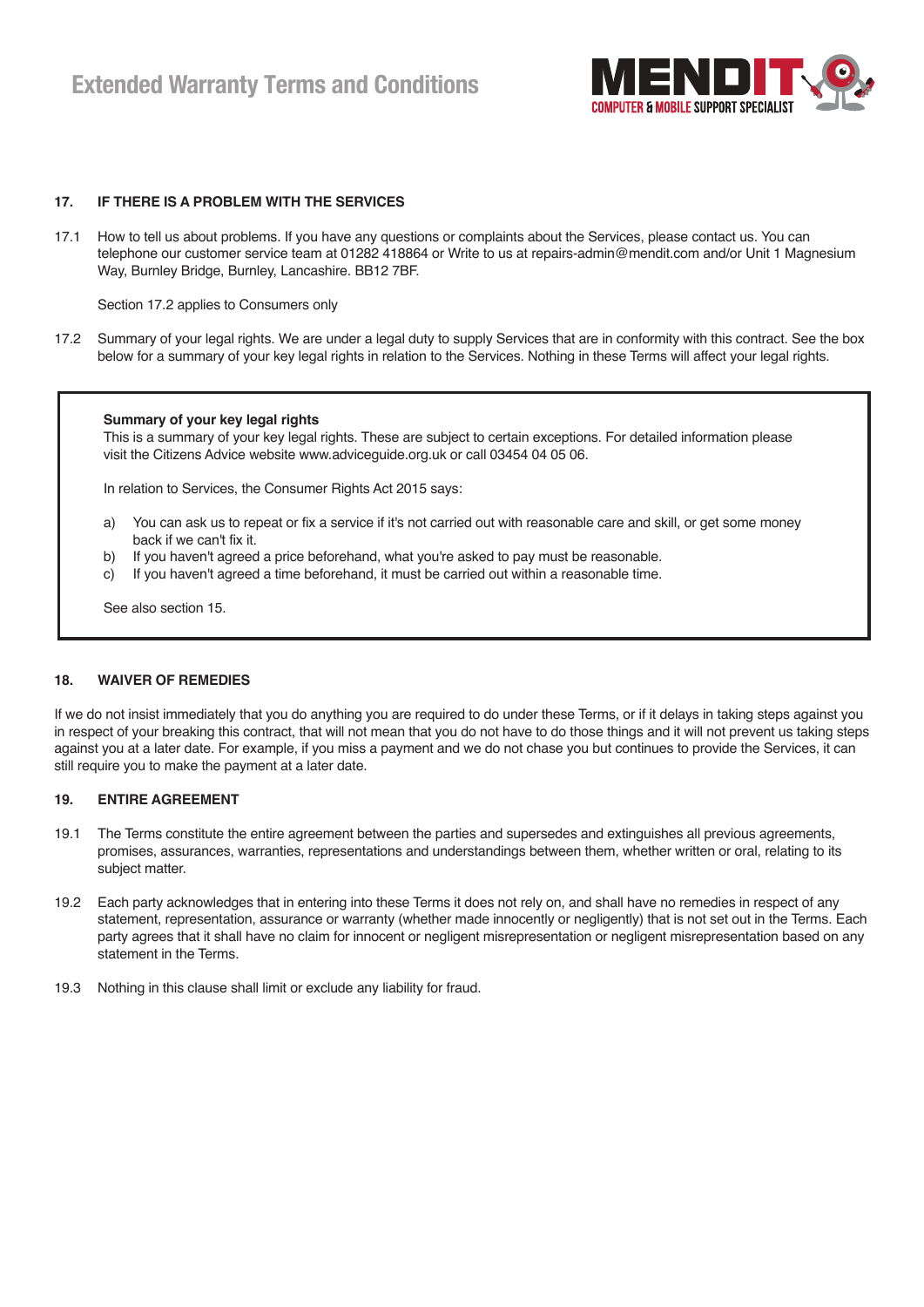

#### **17. IF THERE IS A PROBLEM WITH THE SERVICES**

17.1 How to tell us about problems. If you have any questions or complaints about the Services, please contact us. You can telephone our customer service team at 01282 418864 or Write to us at repairs-admin@mendit.com and/or Unit 1 Magnesium Way, Burnley Bridge, Burnley, Lancashire. BB12 7BF.

Section 17.2 applies to Consumers only

17.2 Summary of your legal rights. We are under a legal duty to supply Services that are in conformity with this contract. See the box below for a summary of your key legal rights in relation to the Services. Nothing in these Terms will affect your legal rights.

#### **Summary of your key legal rights**

This is a summary of your key legal rights. These are subject to certain exceptions. For detailed information please visit the Citizens Advice website www.adviceguide.org.uk or call 03454 04 05 06.

In relation to Services, the Consumer Rights Act 2015 says:

- a) You can ask us to repeat or fix a service if it's not carried out with reasonable care and skill, or get some money back if we can't fix it.
- b) If you haven't agreed a price beforehand, what you're asked to pay must be reasonable.
- c) If you haven't agreed a time beforehand, it must be carried out within a reasonable time.

See also section 15.

#### **18. WAIVER OF REMEDIES**

If we do not insist immediately that you do anything you are required to do under these Terms, or if it delays in taking steps against you in respect of your breaking this contract, that will not mean that you do not have to do those things and it will not prevent us taking steps against you at a later date. For example, if you miss a payment and we do not chase you but continues to provide the Services, it can still require you to make the payment at a later date.

#### **19. ENTIRE AGREEMENT**

- 19.1 The Terms constitute the entire agreement between the parties and supersedes and extinguishes all previous agreements, promises, assurances, warranties, representations and understandings between them, whether written or oral, relating to its subject matter.
- 19.2 Each party acknowledges that in entering into these Terms it does not rely on, and shall have no remedies in respect of any statement, representation, assurance or warranty (whether made innocently or negligently) that is not set out in the Terms. Each party agrees that it shall have no claim for innocent or negligent misrepresentation or negligent misrepresentation based on any statement in the Terms.
- 19.3 Nothing in this clause shall limit or exclude any liability for fraud.